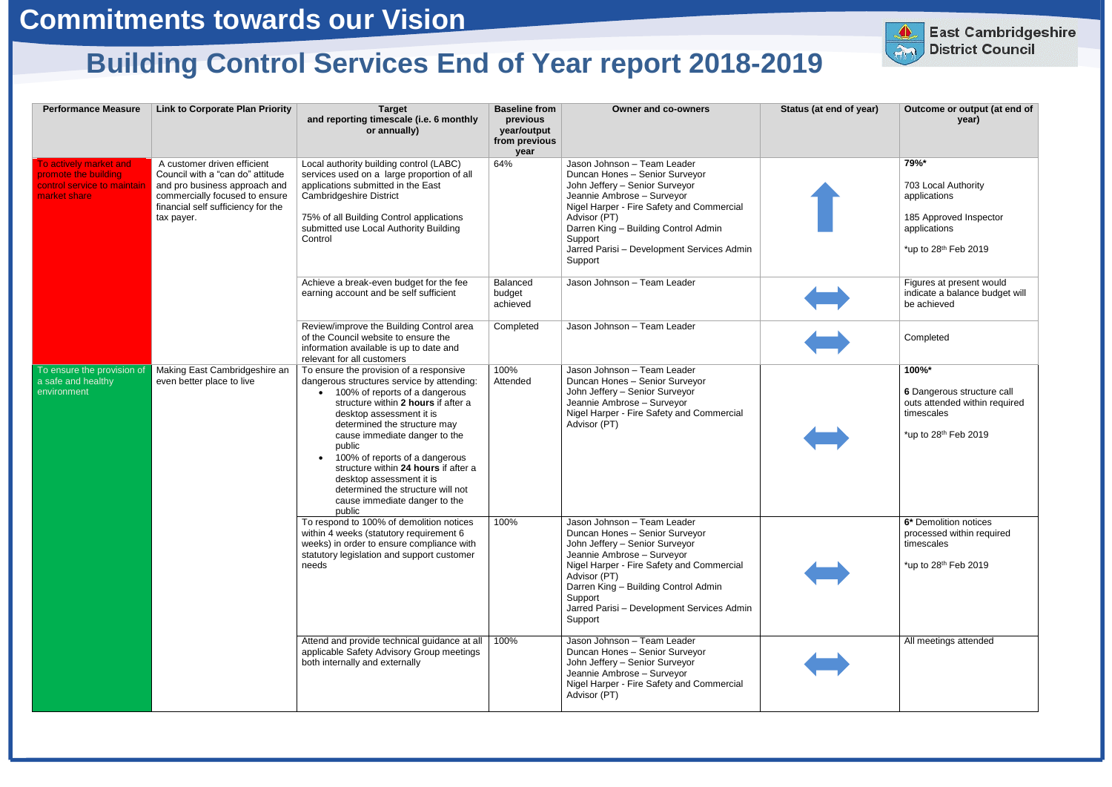| <b>Performance Measure</b>                                                                    | <b>Link to Corporate Plan Priority</b>                                                                                                                                                 | <b>Target</b><br>and reporting timescale (i.e. 6 monthly<br>or annually)                                                                                                                                                                                                                                                                                                                                                                                    | <b>Baseline from</b><br>previous<br>year/output<br>from previous<br>year | <b>Owner and co-owners</b>                                                                                                                                                                                                                                                                             | Status (at end of year) | Outcome or output (at end of<br>year)                                                                                     |
|-----------------------------------------------------------------------------------------------|----------------------------------------------------------------------------------------------------------------------------------------------------------------------------------------|-------------------------------------------------------------------------------------------------------------------------------------------------------------------------------------------------------------------------------------------------------------------------------------------------------------------------------------------------------------------------------------------------------------------------------------------------------------|--------------------------------------------------------------------------|--------------------------------------------------------------------------------------------------------------------------------------------------------------------------------------------------------------------------------------------------------------------------------------------------------|-------------------------|---------------------------------------------------------------------------------------------------------------------------|
| To actively market and<br>promote the building<br>control service to maintair<br>market share | A customer driven efficient<br>Council with a "can do" attitude<br>and pro business approach and<br>commercially focused to ensure<br>financial self sufficiency for the<br>tax payer. | Local authority building control (LABC)<br>services used on a large proportion of all<br>applications submitted in the East<br><b>Cambridgeshire District</b><br>75% of all Building Control applications<br>submitted use Local Authority Building<br>Control                                                                                                                                                                                              | 64%                                                                      | Jason Johnson - Team Leader<br>Duncan Hones - Senior Surveyor<br>John Jeffery - Senior Surveyor<br>Jeannie Ambrose - Surveyor<br>Nigel Harper - Fire Safety and Commercial<br>Advisor (PT)<br>Darren King - Building Control Admin<br>Support<br>Jarred Parisi - Development Services Admin<br>Support |                         | 79%*<br>703 Local Authority<br>applications<br>185 Approved Inspector<br>applications<br>*up to 28 <sup>th</sup> Feb 2019 |
|                                                                                               |                                                                                                                                                                                        | Achieve a break-even budget for the fee<br>earning account and be self sufficient                                                                                                                                                                                                                                                                                                                                                                           | Balanced<br>budget<br>achieved                                           | Jason Johnson - Team Leader                                                                                                                                                                                                                                                                            |                         | Figures at present would<br>indicate a balance budget will<br>be achieved                                                 |
|                                                                                               |                                                                                                                                                                                        | Review/improve the Building Control area<br>of the Council website to ensure the<br>information available is up to date and<br>relevant for all customers                                                                                                                                                                                                                                                                                                   | Completed                                                                | Jason Johnson - Team Leader                                                                                                                                                                                                                                                                            |                         | Completed                                                                                                                 |
| To ensure the provision of<br>a safe and healthy<br>environment                               | Making East Cambridgeshire an<br>even better place to live                                                                                                                             | To ensure the provision of a responsive<br>dangerous structures service by attending:<br>100% of reports of a dangerous<br>structure within 2 hours if after a<br>desktop assessment it is<br>determined the structure may<br>cause immediate danger to the<br>public<br>100% of reports of a dangerous<br>structure within 24 hours if after a<br>desktop assessment it is<br>determined the structure will not<br>cause immediate danger to the<br>public | 100%<br>Attended                                                         | Jason Johnson - Team Leader<br>Duncan Hones - Senior Surveyor<br>John Jeffery - Senior Surveyor<br>Jeannie Ambrose - Surveyor<br>Nigel Harper - Fire Safety and Commercial<br>Advisor (PT)                                                                                                             |                         | 100%*<br>6 Dangerous structure call<br>outs attended within required<br>timescales<br>*up to 28 <sup>th</sup> Feb 2019    |
|                                                                                               |                                                                                                                                                                                        | To respond to 100% of demolition notices<br>within 4 weeks (statutory requirement 6<br>weeks) in order to ensure compliance with<br>statutory legislation and support customer<br>needs                                                                                                                                                                                                                                                                     | 100%                                                                     | Jason Johnson - Team Leader<br>Duncan Hones - Senior Surveyor<br>John Jeffery - Senior Surveyor<br>Jeannie Ambrose - Surveyor<br>Nigel Harper - Fire Safety and Commercial<br>Advisor (PT)<br>Darren King - Building Control Admin<br>Support<br>Jarred Parisi - Development Services Admin<br>Support |                         | 6* Demolition notices<br>processed within required<br>timescales<br>*up to 28th Feb 2019                                  |
|                                                                                               |                                                                                                                                                                                        | Attend and provide technical guidance at all<br>applicable Safety Advisory Group meetings<br>both internally and externally                                                                                                                                                                                                                                                                                                                                 | 100%                                                                     | Jason Johnson - Team Leader<br>Duncan Hones - Senior Surveyor<br>John Jeffery - Senior Surveyor<br>Jeannie Ambrose - Surveyor<br>Nigel Harper - Fire Safety and Commercial<br>Advisor (PT)                                                                                                             |                         | All meetings attended                                                                                                     |



## **Building Control Services End of Year report 2018-2019**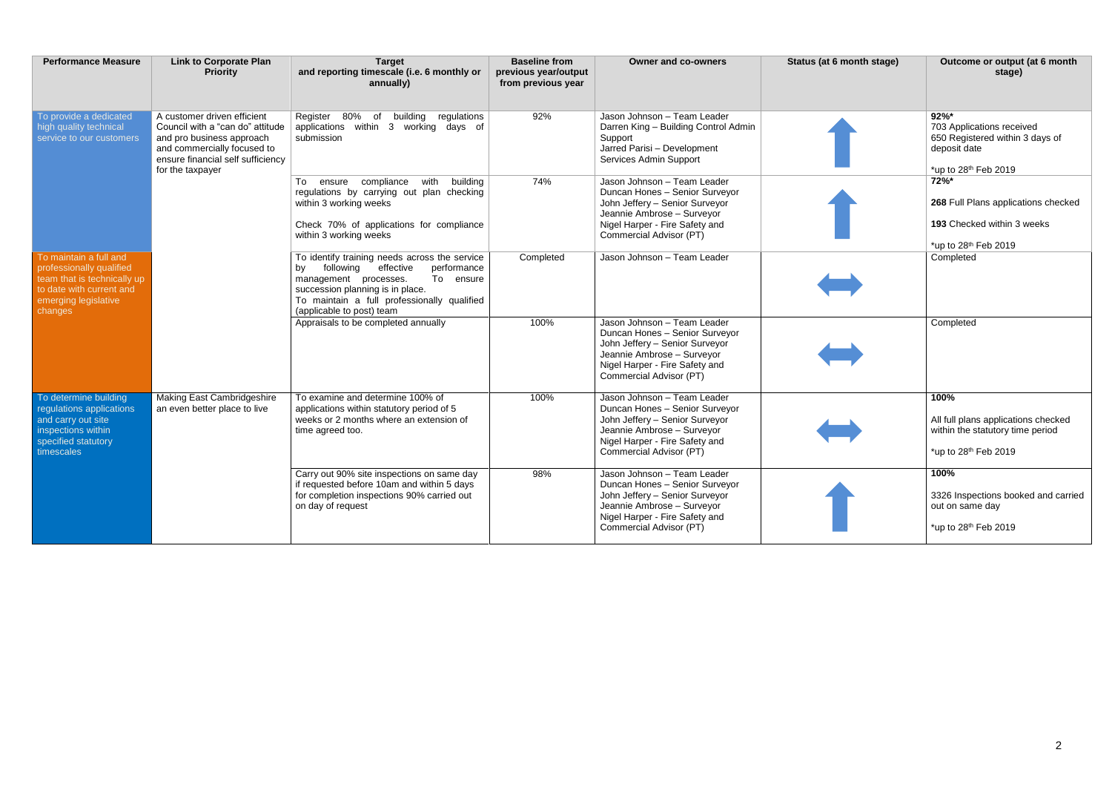| <b>Performance Measure</b>                                                                                                                       | <b>Link to Corporate Plan</b><br><b>Priority</b>                                                                                                                                     | <b>Target</b><br>and reporting timescale (i.e. 6 monthly or<br>annually)                                                                                                                                                                           | <b>Baseline from</b><br>previous year/output<br>from previous year | <b>Owner and co-owners</b>                                                                                                                                                                 | Status (at 6 month stage) | Outcome or output (at 6 month<br>stage)                                                                          |
|--------------------------------------------------------------------------------------------------------------------------------------------------|--------------------------------------------------------------------------------------------------------------------------------------------------------------------------------------|----------------------------------------------------------------------------------------------------------------------------------------------------------------------------------------------------------------------------------------------------|--------------------------------------------------------------------|--------------------------------------------------------------------------------------------------------------------------------------------------------------------------------------------|---------------------------|------------------------------------------------------------------------------------------------------------------|
| To provide a dedicated<br>high quality technical<br>service to our customers                                                                     | A customer driven efficient<br>Council with a "can do" attitude<br>and pro business approach<br>and commercially focused to<br>ensure financial self sufficiency<br>for the taxpayer | Register 80% of<br>building<br>regulations<br>applications within 3 working days of<br>submission                                                                                                                                                  | 92%                                                                | Jason Johnson - Team Leader<br>Darren King - Building Control Admin<br>Support<br>Jarred Parisi - Development<br>Services Admin Support                                                    |                           | $92\%$ *<br>703 Applications received<br>650 Registered within 3 days of<br>deposit date<br>*up to 28th Feb 2019 |
|                                                                                                                                                  |                                                                                                                                                                                      | ensure compliance with<br>building<br>To<br>regulations by carrying out plan checking<br>within 3 working weeks<br>Check 70% of applications for compliance<br>within 3 working weeks                                                              | 74%                                                                | Jason Johnson - Team Leader<br>Duncan Hones - Senior Surveyor<br>John Jeffery - Senior Surveyor<br>Jeannie Ambrose - Surveyor<br>Nigel Harper - Fire Safety and<br>Commercial Advisor (PT) |                           | 72%*<br>268 Full Plans applications checked<br>193 Checked within 3 weeks<br>*up to 28th Feb 2019                |
| To maintain a full and<br>professionally qualified<br>team that is technically up<br>to date with current and<br>emerging legislative<br>changes |                                                                                                                                                                                      | To identify training needs across the service<br>following<br>effective<br>performance<br>bv<br>To ensure<br>management processes.<br>succession planning is in place.<br>To maintain a full professionally qualified<br>(applicable to post) team | Completed                                                          | Jason Johnson - Team Leader                                                                                                                                                                |                           | Completed                                                                                                        |
|                                                                                                                                                  |                                                                                                                                                                                      | Appraisals to be completed annually                                                                                                                                                                                                                | 100%                                                               | Jason Johnson - Team Leader<br>Duncan Hones - Senior Surveyor<br>John Jeffery - Senior Surveyor<br>Jeannie Ambrose - Surveyor<br>Nigel Harper - Fire Safety and<br>Commercial Advisor (PT) |                           | Completed                                                                                                        |
| To determine building<br>regulations applications<br>and carry out site<br>inspections within<br>specified statutory<br>timescales               | <b>Making East Cambridgeshire</b><br>an even better place to live                                                                                                                    | To examine and determine 100% of<br>applications within statutory period of 5<br>weeks or 2 months where an extension of<br>time agreed too.                                                                                                       | 100%                                                               | Jason Johnson - Team Leader<br>Duncan Hones - Senior Surveyor<br>John Jeffery - Senior Surveyor<br>Jeannie Ambrose - Surveyor<br>Nigel Harper - Fire Safety and<br>Commercial Advisor (PT) |                           | 100%<br>All full plans applications checked<br>within the statutory time period<br>*up to 28th Feb 2019          |
|                                                                                                                                                  |                                                                                                                                                                                      | Carry out 90% site inspections on same day<br>if requested before 10am and within 5 days<br>for completion inspections 90% carried out<br>on day of request                                                                                        | 98%                                                                | Jason Johnson - Team Leader<br>Duncan Hones - Senior Surveyor<br>John Jeffery - Senior Surveyor<br>Jeannie Ambrose - Surveyor<br>Nigel Harper - Fire Safety and<br>Commercial Advisor (PT) |                           | 100%<br>3326 Inspections booked and carried<br>out on same day<br>*up to $28th$ Feb 2019                         |